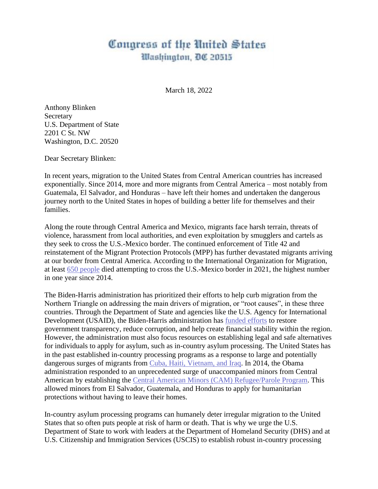## Congress of the United States Washington, DC 20515

March 18, 2022

Anthony Blinken Secretary U.S. Department of State 2201 C St. NW Washington, D.C. 20520

Dear Secretary Blinken:

In recent years, migration to the United States from Central American countries has increased exponentially. Since 2014, more and more migrants from Central America – most notably from Guatemala, El Salvador, and Honduras – have left their homes and undertaken the dangerous journey north to the United States in hopes of building a better life for themselves and their families.

Along the route through Central America and Mexico, migrants face harsh terrain, threats of violence, harassment from local authorities, and even exploitation by smugglers and cartels as they seek to cross the U.S.-Mexico border. The continued enforcement of Title 42 and reinstatement of the Migrant Protection Protocols (MPP) has further devastated migrants arriving at our border from Central America. According to the International Organization for Migration, at least [650 people](https://www.iom.int/news/rising-migrant-deaths-top-4400-year-iom-records-more-45000-2014) died attempting to cross the U.S.-Mexico border in 2021, the highest number in one year since 2014.

The Biden-Harris administration has prioritized their efforts to help curb migration from the Northern Triangle on addressing the main drivers of migration, or "root causes", in these three countries. Through the Department of State and agencies like the U.S. Agency for International Development (USAID), the Biden-Harris administration has [funded efforts](https://www.usaid.gov/generating-hope-usaid-el-salvador-guatemala-and-honduras) to restore government transparency, reduce corruption, and help create financial stability within the region. However, the administration must also focus resources on establishing legal and safe alternatives for individuals to apply for asylum, such as in-country asylum processing. The United States has in the past established in-country processing programs as a response to large and potentially dangerous surges of migrants from [Cuba, Haiti, Vietnam, and Iraq.](https://www.migrationpolicy.org/sites/default/files/publications/In-Country-Processing-FINALWEB.pdf) In 2014, the Obama administration responded to an unprecedented surge of unaccompanied minors from Central American by establishing the [Central American Minors \(CAM\) Refugee/Parole Program.](https://www.migrationpolicy.org/sites/default/files/publications/In-Country-Processing-FINALWEB.pdf) This allowed minors from El Salvador, Guatemala, and Honduras to apply for humanitarian protections without having to leave their homes.

In-country asylum processing programs can humanely deter irregular migration to the United States that so often puts people at risk of harm or death. That is why we urge the U.S. Department of State to work with leaders at the Department of Homeland Security (DHS) and at U.S. Citizenship and Immigration Services (USCIS) to establish robust in-country processing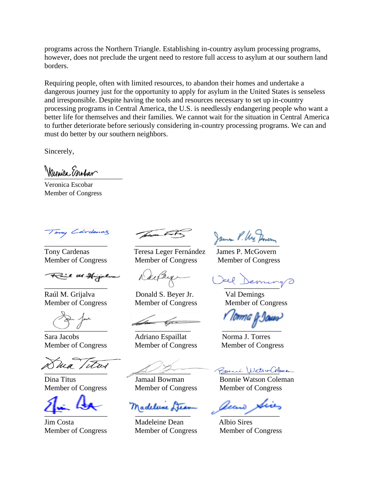programs across the Northern Triangle. Establishing in-country asylum processing programs, however, does not preclude the urgent need to restore full access to asylum at our southern land borders.

Requiring people, often with limited resources, to abandon their homes and undertake a dangerous journey just for the opportunity to apply for asylum in the United States is senseless and irresponsible. Despite having the tools and resources necessary to set up in-country processing programs in Central America, the U.S. is needlessly endangering people who want a better life for themselves and their families. We cannot wait for the situation in Central America to further deteriorate before seriously considering in-country processing programs. We can and must do better by our southern neighbors.

Sincerely,

 $V$ 

Veronica Escobar Member of Congress

Tony Cardenas

e us Hijalva

Raúl M. Grijalva Donald S. Beyer Jr. Val Demings

 $\overline{\phantom{a}}$ 

Member of Congress Member of Congress Member of Congress

 $\leftarrow$   $\sim$   $\sim$   $\sim$   $\sim$   $\sim$   $\sim$ 

Member of Congress Member of Congress Member of Congress

Tony Cardenas Teresa Leger Fernández James P. McGovern Member of Congress Member of Congress Member of Congress

Sara Jacobs Adriano Espaillat Norma J. Torres

Madelune Les

Jim Costa Madeleine Dean Albio Sires

 $\int$   $\mu$ m/ $\leq$   $\mu$ m/ $\leq$   $\mu$ m/ $\sim$ 

 $\frac{0}{\sqrt{1-\frac{1}{2}}}\frac{1}{\sqrt{1-\frac{1}{2}}}\frac{1}{\sqrt{1-\frac{1}{2}}}\frac{1}{\sqrt{1-\frac{1}{2}}}\frac{1}{\sqrt{1-\frac{1}{2}}}\frac{1}{\sqrt{1-\frac{1}{2}}}\frac{1}{\sqrt{1-\frac{1}{2}}}\frac{1}{\sqrt{1-\frac{1}{2}}}\frac{1}{\sqrt{1-\frac{1}{2}}}\frac{1}{\sqrt{1-\frac{1}{2}}}\frac{1}{\sqrt{1-\frac{1}{2}}}\frac{1}{\sqrt{1-\frac{1}{2}}}\frac{1}{\sqrt{1-\frac{1}{2}}}\frac{1}{\sqrt{1-\frac{$ 

Member of Congress Member of Congress Member of Congress

Bonni WatsurColeman

Dina Titus Jamaal Bowman Bonnie Watson Coleman Member of Congress Member of Congress Member of Congress